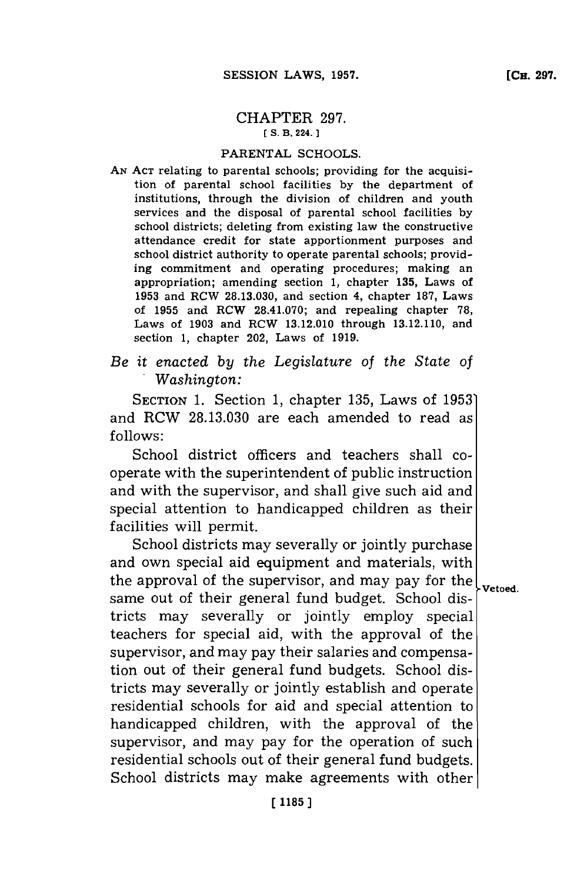## CHAPTER **297. [ S. B. 224.]1**

## PARENTAL **SCHOOLS.**

- **AN ACT** relating to parental schools; providing for the acquisition of parental school facilities **by** the department of institutions, through the division of children and youth services and the disposal of parental school facilities **by** school districts; deleting from existing law the constructive attendance credit for state apportionment purposes and school district authority to operate parental schools; providing commitment and operating procedures; making an appropriation; amending section **1,** chapter **135,** Laws of **1953** and ROW **28.13.030,** and section 4, chapter **187,** Laws of **1955** and ROW **28.4 1.070;** and repealing chapter **78,** Laws of **1903** and RCW **13.12.010** through **13.12.110,** and section **1,** chapter 202, Laws of **1919.**
- *Be it enacted by the Legislature of the State of .Washington:*

SECTION **1.** Section **1,** chapter **135,** Laws of **1953'** and RCW **28.13.030** are each amended to read as **f ollows:**

School district officers and teachers shall cooperate with the superintendent of public instruction and with the supervisor, and shall give such aid and special attention to handicapped children as their facilities will permit.

School districts may severally or jointly purchase and own special aid equipment and materials, with the approval of the supervisor, and may pay for the  $\vert_{\text{vetoed.}}$ same out of their general fund budget. School districts may severally or jointly employ special teachers for special aid, with the approval of the supervisor, and may pay their salaries and compensation out of their general fund budgets. School districts may severally or jointly establish and operate residential schools for aid and special attention to handicapped children, with the approval of the supervisor, and may pay for the operation of such residential schools out of their general fund budgets. School districts may make agreements with other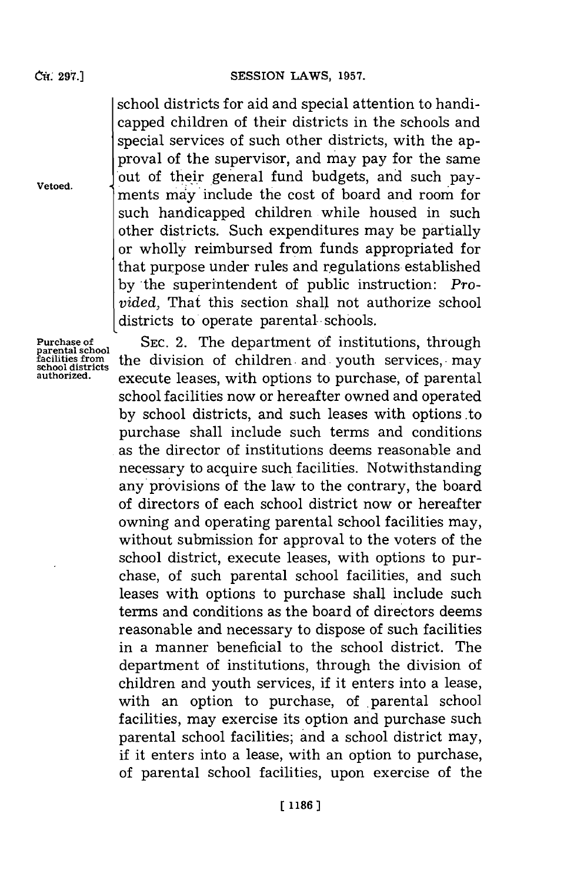school districts **for** aid and special attention to handicapped children of their districts in the schools and special services of such other districts, with the approval of the supervisor, and may pay for the same out of their general fund budgets, and such payments may'include the cost of board and room for such handicapped children while housed in such other districts. Such expenditures may be partially or wholly reimbursed from funds appropriated for that purpose under rules and regulations established by the superintendent of public instruction: *Provided,* That this section shall not authorize school districts to operate parental- schools.

**Purchase of parental school facilities from school districts authorized.**

**SEC.** 2. The department of institutions, through the division of children and youth services, may execute leases, with options to purchase, of parental school facilities now or hereafter owned and operated **by** school districts, and such leases with options to purchase shall include such terms and conditions as the director of institutions deems reasonable and necessary to acquire such facilities. Notwithstanding any provisions of the law to the contrary, the board of directors of each school district now or hereafter owning and operating parental school facilities may, without submission for approval to the voters of the school district, execute leases, with options to purchase, of such parental school facilities, and such leases with options to purchase shall include such terms and conditions as the board of directors deems reasonable and necessary to dispose of such facilities in a manner beneficial to the school district. The department of institutions, through the division of children and youth services, if it enters into a lease, with an option to purchase, of parental school facilities, may exercise its option and purchase such parental school facilities; and a school district may, if it enters into a lease, with an option to purchase, of parental school facilities, upon exercise of the

**Vetoed.**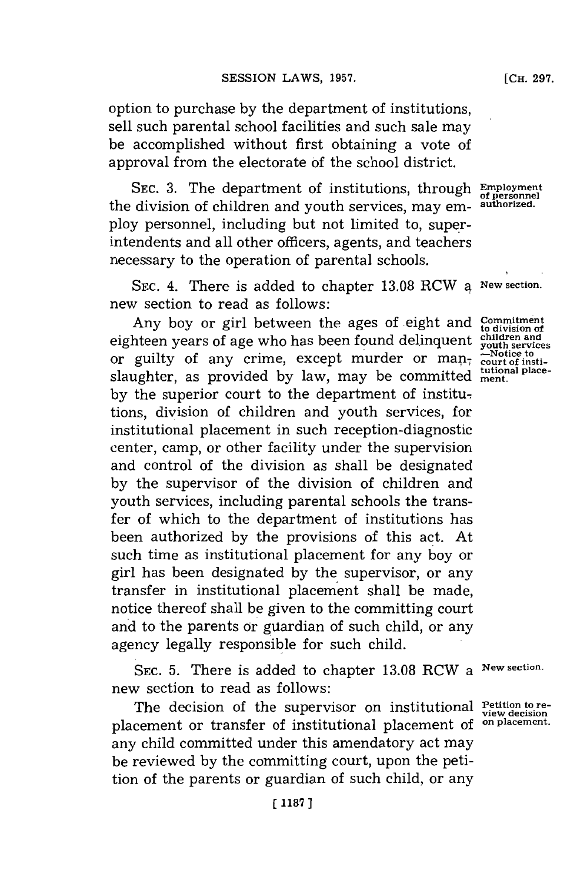option to purchase **by** the department of institutions, sell such parental school facilities and such sale may be accomplished without first obtaining a vote of approval from the electorate **of** the school district.

SEC. 3. The department of institutions, through **Employment**<br>division of children and youth services may em-authorized. the division of children and youth services, may employ personnel, including but not limited to, superintendents and all other officers, agents, and teachers necessary to the operation of parental schools.

SEC. 4. There is added to chapter 13.08 RCW a New section new section to read as follows:

Any boy or girl between the ages of eight and eighteen years of age who has been found delinquent or guilty of any crime, except murder or manslaughter, as provided by law, may be committed ment. **by** the superior court to the department of institutions, division of children and youth services, for institutional placement in such reception-diagnostic center, camp, or other facility under the supervision and control of the division as shall be designated **by** the supervisor of the division of children and youth services, including parental schools the transfer of which to the department of institutions has been authorized **by** the provisions of this act. At such time as institutional placement for any boy or girl has been designated **by** the supervisor, or any transfer in institutional placement shall be made, notice thereof shall be given to the committing court and to the parents or guardian of such child, or any agency legally responsible for such child.

**SEC. 5.** There is added to chapter **13.08** RCW a **New section.** new section to read as follows:

The decision of the supervisor on institutional Petition to replacement or transfer of institutional placement of **on placement.** any child committed under this amendatory act may be reviewed **by** the committing court, upon the petition of the parents or guardian of such child, or any

**Commitment to division of children and youth services -Notice to court of insti-**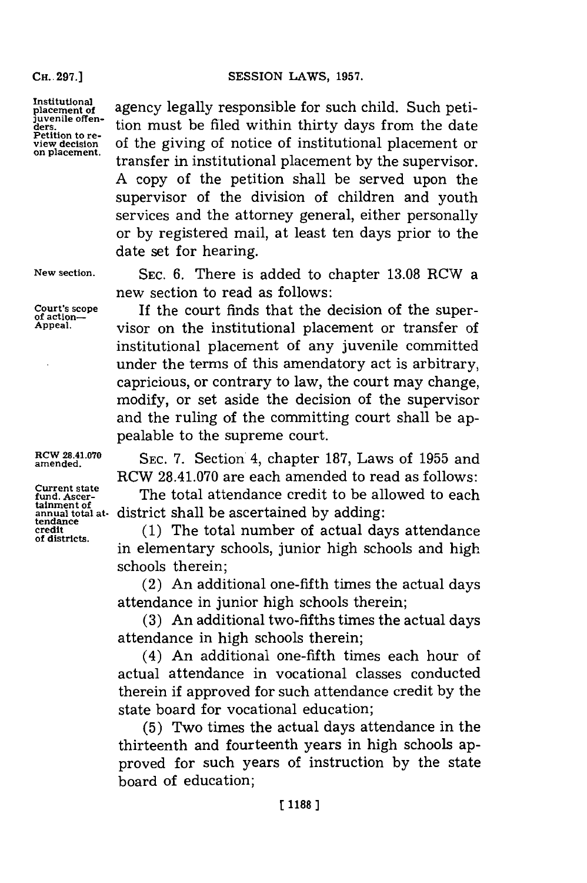**CH. -297.]**

**Institutional**

agency legally responsible for such child. Such peti-Invention determinism in the filed within thirty days from the date<br>retition to re-<br>estable distinct of potter of institutional placement or **Petition to re- view decision** of the giving of notice of institutional placement or **on placement,** transfer in institutional placement **by** the supervisor. **A** copy of the petition shall be served upon the supervisor of the division of children and youth services and the attorney general, either personally or **by** registered mail, at least ten days prior to the date set for hearing.

**Current state tainment of**

**New section. SEC. 6.** There is added to chapter **13.08** RCW a new section to read as follows:

Court's scope **If the court finds that the decision of the super-**<br> **of action**—<br> **Appeal.** <br> **OF** act is institutional placement or transform of visor on the institutional placement or transfer of institutional placement of any juvenile committed under the terms of this amendatory act is arbitrary, capricious, or contrary to law, the court may change, modify, or set aside the decision of the supervisor and the ruling of the committing court shall be appealable to the supreme court.

amende..0 **SEC. 7.** Section 4, chapter **187,** Laws of **1955** and RCW **28.41.070** are each amended to read as follows:

> The total attendance credit to be allowed to each district shall be ascertained by adding:

eredit (1) The total number of actual days attendance of districts.<br>
in elementary schools, junior high schools and high schools therein;

> (2) An additional one-fifth times the actual days attendance in junior high schools therein;

> **(3)** An additional two-fifths times the actual days attendance in high schools therein;

> (4) An additional one-fifth times each hour of actual attendance in vocational classes conducted therein if approved for such attendance credit **by** the state board for vocational education;

> **(5)** Two times the actual days attendance in the thirteenth and fourteenth years in high schools approved for such years of instruction **by** the state board of education;